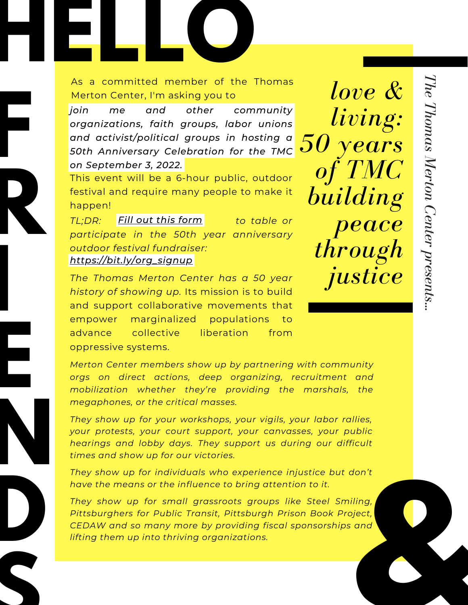## **HELLOCATES**<br> **HELLOCATES**<br>
As a committed member of the Thom As a committed member of the Thomas Merton Center, I'm asking you to

*join me and other community organizations, faith groups, labor unions and activist/political groups in hosting a 50th Anniversary Celebration for the TMC* **F** *on September 3, 2022.*

This event will be a 6-hour public, outdoor festival and require many people to make it happen!

**R**

**I**

**E**

**D**

**S**

*TL;DR: to table or Fill out this [form](https://forms.gle/K4gWmTkMR5SmWr9W6) participate in the 50th year anniversary outdoor festival fundraiser: [https://bit.ly/org\\_signup](https://forms.gle/K4gWmTkMR5SmWr9W6)*

*The Thomas Merton Center has a 50 year history of showing up.* Its mission is to build and support collaborative movements that empower marginalized populations to advance collective liberation from oppressive systems.

*Merton Center members show up by partnering with community orgs on direct actions, deep organizing, recruitment and mobilization whether they're providing the marshals, the megaphones, or the critical masses.*

T<sub>y</sub><br>
y<br>
h<br>
ti<br>
ti<br>
T<br>
h *They show up for your workshops, your vigils, your labor rallies, your protests, your court support, your canvasses, your public hearings and lobby days. They support us during our difficult times and show up for our victories.*

*They show up for individuals who experience injustice but don't have the means or the influence to bring attention to it.*

**&** *They show up for small grassroots groups like Steel Smiling, Pittsburghers for Public Transit, Pittsburgh Prison Book Project, CEDAW and so many more by providing fiscal sponsorships and lifting them up into thriving organizations.*

*love &*

*living:*

*50 years*

*of TMC*

*building*

*through*

*justice*

*peace*